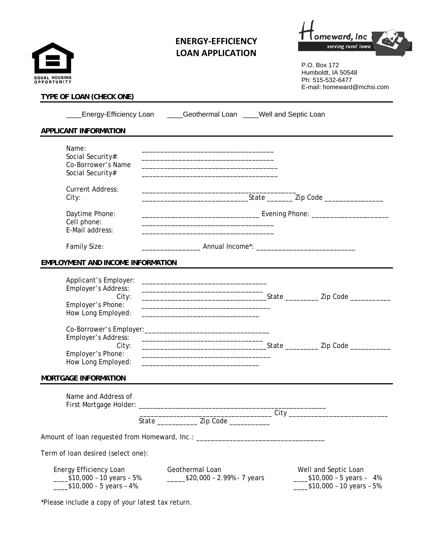| EQUAL HOUSING<br>OPPORTUNITY                                                     | <b>ENERGY-EFFICIENCY</b><br><b>LOAN APPLICATION</b>                                                                                                      | serving rural lowa<br>P.O. Box 172<br>Humboldt, IA 50548<br>Ph: 515-532-6477 |
|----------------------------------------------------------------------------------|----------------------------------------------------------------------------------------------------------------------------------------------------------|------------------------------------------------------------------------------|
| TYPE OF LOAN (CHECK ONE)                                                         |                                                                                                                                                          | E-mail: homeward@mchsi.com                                                   |
|                                                                                  | Energy-Efficiency Loan ____Geothermal Loan ____Well and Septic Loan                                                                                      |                                                                              |
| APPLICANT INFORMATION                                                            |                                                                                                                                                          |                                                                              |
| Name:<br>Social Security#:<br>Co-Borrower's Name<br>Social Security#             | the control of the control of the control of the control of the control of the control of the                                                            |                                                                              |
| <b>Current Address:</b><br>City:                                                 |                                                                                                                                                          |                                                                              |
| Daytime Phone:<br>Cell phone:<br>E-Mail address:                                 |                                                                                                                                                          |                                                                              |
| Family Size:                                                                     |                                                                                                                                                          |                                                                              |
| <b>EMPLOYMENT AND INCOME INFORMATION</b>                                         |                                                                                                                                                          |                                                                              |
| Applicant's Employer:<br>Employer's Address:<br>City:<br>Employer's Phone:       | <u> 1989 - Johann Stoff, amerikansk politiker (d. 1989)</u><br>the control of the control of the control of the control of the control of the control of |                                                                              |
| How Long Employed:                                                               |                                                                                                                                                          |                                                                              |
| Co-Borrower's Employer:<br>Employer's Address:<br>City:                          | <u> 1980 - Johann Barbara, martin amerikan basar dan basa dan basa dan basa dalam basa dalam basa dalam basa dala</u>                                    |                                                                              |
| Employer's Phone:<br>How Long Employed:                                          | the control of the control of the control of the control of the control of the control of                                                                |                                                                              |
| <b>MORTGAGE INFORMATION</b>                                                      |                                                                                                                                                          |                                                                              |
| Name and Address of                                                              |                                                                                                                                                          |                                                                              |
|                                                                                  | State ________________ Zip Code ___________                                                                                                              |                                                                              |
| Amount of loan requested from Homeward, Inc.: __________________________________ |                                                                                                                                                          |                                                                              |
| Term of loan desired (select one):                                               |                                                                                                                                                          |                                                                              |
| Energy Efficiency Loan<br>_____\$10,000 - 10 years - 5%                          | Geothermal Loan<br>$\frac{\cdot}{\cdot}$ \$20,000 - 2.99% - 7 years                                                                                      | Well and Septic Loan<br>$\frac{\text{I}}{\text{I}}$ \$10,000 - 5 years - 4%  |

\*Please include a copy of your latest tax return.